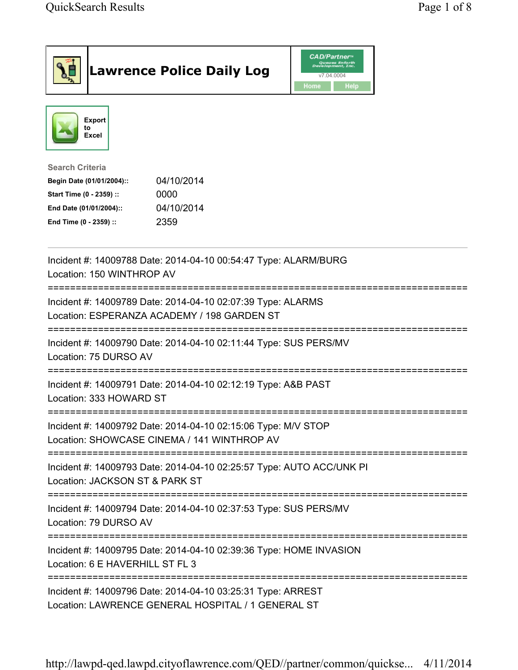|                                                                                                                                      | <b>Lawrence Police Daily Log</b>                                                                                  | CAD/Partner¤<br>Queues Enforth<br>Development, Inc.<br>v7.04.0004<br>Home<br><b>Help</b> |  |
|--------------------------------------------------------------------------------------------------------------------------------------|-------------------------------------------------------------------------------------------------------------------|------------------------------------------------------------------------------------------|--|
| <b>Export</b><br>to<br>Excel                                                                                                         |                                                                                                                   |                                                                                          |  |
| <b>Search Criteria</b><br>Begin Date (01/01/2004)::<br>Start Time (0 - 2359) ::<br>End Date (01/01/2004)::<br>End Time (0 - 2359) :: | 04/10/2014<br>0000<br>04/10/2014<br>2359                                                                          |                                                                                          |  |
| Location: 150 WINTHROP AV                                                                                                            | Incident #: 14009788 Date: 2014-04-10 00:54:47 Type: ALARM/BURG                                                   |                                                                                          |  |
|                                                                                                                                      | Incident #: 14009789 Date: 2014-04-10 02:07:39 Type: ALARMS<br>Location: ESPERANZA ACADEMY / 198 GARDEN ST        |                                                                                          |  |
| Location: 75 DURSO AV                                                                                                                | Incident #: 14009790 Date: 2014-04-10 02:11:44 Type: SUS PERS/MV                                                  |                                                                                          |  |
| Incident #: 14009791 Date: 2014-04-10 02:12:19 Type: A&B PAST<br>Location: 333 HOWARD ST                                             |                                                                                                                   |                                                                                          |  |
|                                                                                                                                      | Incident #: 14009792 Date: 2014-04-10 02:15:06 Type: M/V STOP<br>Location: SHOWCASE CINEMA / 141 WINTHROP AV      |                                                                                          |  |
| Location: JACKSON ST & PARK ST                                                                                                       | Incident #: 14009793 Date: 2014-04-10 02:25:57 Type: AUTO ACC/UNK PI                                              |                                                                                          |  |
| Location: 79 DURSO AV                                                                                                                | Incident #: 14009794 Date: 2014-04-10 02:37:53 Type: SUS PERS/MV                                                  |                                                                                          |  |
| ============<br>Incident #: 14009795 Date: 2014-04-10 02:39:36 Type: HOME INVASION<br>Location: 6 E HAVERHILL ST FL 3                |                                                                                                                   |                                                                                          |  |
|                                                                                                                                      | Incident #: 14009796 Date: 2014-04-10 03:25:31 Type: ARREST<br>Location: LAWRENCE GENERAL HOSPITAL / 1 GENERAL ST |                                                                                          |  |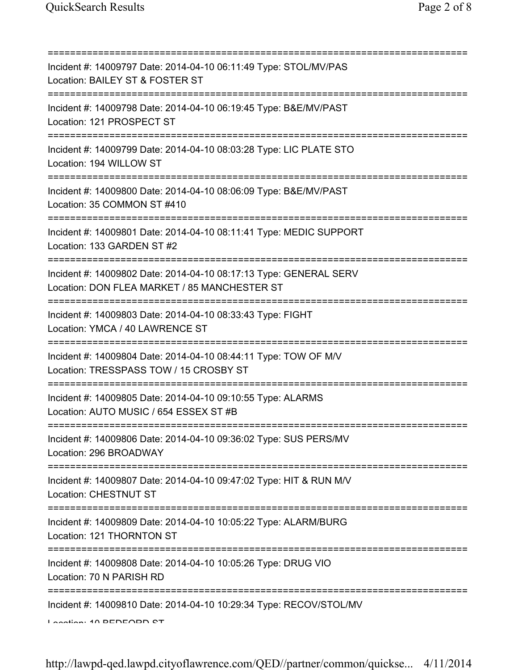| Incident #: 14009797 Date: 2014-04-10 06:11:49 Type: STOL/MV/PAS<br>Location: BAILEY ST & FOSTER ST               |
|-------------------------------------------------------------------------------------------------------------------|
| Incident #: 14009798 Date: 2014-04-10 06:19:45 Type: B&E/MV/PAST<br>Location: 121 PROSPECT ST                     |
| Incident #: 14009799 Date: 2014-04-10 08:03:28 Type: LIC PLATE STO<br>Location: 194 WILLOW ST                     |
| Incident #: 14009800 Date: 2014-04-10 08:06:09 Type: B&E/MV/PAST<br>Location: 35 COMMON ST #410                   |
| Incident #: 14009801 Date: 2014-04-10 08:11:41 Type: MEDIC SUPPORT<br>Location: 133 GARDEN ST #2                  |
| Incident #: 14009802 Date: 2014-04-10 08:17:13 Type: GENERAL SERV<br>Location: DON FLEA MARKET / 85 MANCHESTER ST |
| Incident #: 14009803 Date: 2014-04-10 08:33:43 Type: FIGHT<br>Location: YMCA / 40 LAWRENCE ST                     |
| Incident #: 14009804 Date: 2014-04-10 08:44:11 Type: TOW OF M/V<br>Location: TRESSPASS TOW / 15 CROSBY ST         |
| Incident #: 14009805 Date: 2014-04-10 09:10:55 Type: ALARMS<br>Location: AUTO MUSIC / 654 ESSEX ST #B             |
| Incident #: 14009806 Date: 2014-04-10 09:36:02 Type: SUS PERS/MV<br>Location: 296 BROADWAY                        |
| Incident #: 14009807 Date: 2014-04-10 09:47:02 Type: HIT & RUN M/V<br><b>Location: CHESTNUT ST</b>                |
| Incident #: 14009809 Date: 2014-04-10 10:05:22 Type: ALARM/BURG<br>Location: 121 THORNTON ST                      |
| Incident #: 14009808 Date: 2014-04-10 10:05:26 Type: DRUG VIO<br>Location: 70 N PARISH RD                         |
| Incident #: 14009810 Date: 2014-04-10 10:29:34 Type: RECOV/STOL/MV<br>Lootion: 10 DEDEODD CT                      |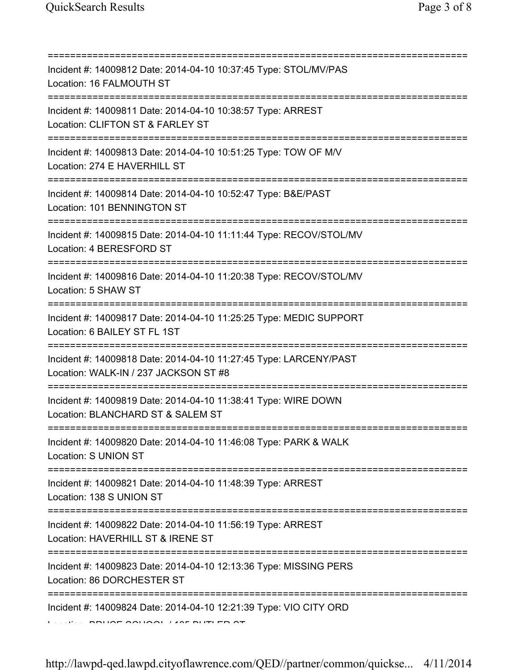| Incident #: 14009812 Date: 2014-04-10 10:37:45 Type: STOL/MV/PAS<br>Location: 16 FALMOUTH ST                                          |
|---------------------------------------------------------------------------------------------------------------------------------------|
| Incident #: 14009811 Date: 2014-04-10 10:38:57 Type: ARREST<br>Location: CLIFTON ST & FARLEY ST                                       |
| Incident #: 14009813 Date: 2014-04-10 10:51:25 Type: TOW OF M/V<br>Location: 274 E HAVERHILL ST<br>================================   |
| Incident #: 14009814 Date: 2014-04-10 10:52:47 Type: B&E/PAST<br>Location: 101 BENNINGTON ST<br>===================================== |
| Incident #: 14009815 Date: 2014-04-10 11:11:44 Type: RECOV/STOL/MV<br>Location: 4 BERESFORD ST<br>======================              |
| Incident #: 14009816 Date: 2014-04-10 11:20:38 Type: RECOV/STOL/MV<br>Location: 5 SHAW ST                                             |
| Incident #: 14009817 Date: 2014-04-10 11:25:25 Type: MEDIC SUPPORT<br>Location: 6 BAILEY ST FL 1ST                                    |
| Incident #: 14009818 Date: 2014-04-10 11:27:45 Type: LARCENY/PAST<br>Location: WALK-IN / 237 JACKSON ST #8<br>==============          |
| Incident #: 14009819 Date: 2014-04-10 11:38:41 Type: WIRE DOWN<br>Location: BLANCHARD ST & SALEM ST                                   |
| Incident #: 14009820 Date: 2014-04-10 11:46:08 Type: PARK & WALK<br>Location: S UNION ST                                              |
| Incident #: 14009821 Date: 2014-04-10 11:48:39 Type: ARREST<br>Location: 138 S UNION ST<br>;===================================       |
| Incident #: 14009822 Date: 2014-04-10 11:56:19 Type: ARREST<br>Location: HAVERHILL ST & IRENE ST                                      |
| Incident #: 14009823 Date: 2014-04-10 12:13:36 Type: MISSING PERS<br>Location: 86 DORCHESTER ST                                       |
| =========<br>Incident #: 14009824 Date: 2014-04-10 12:21:39 Type: VIO CITY ORD                                                        |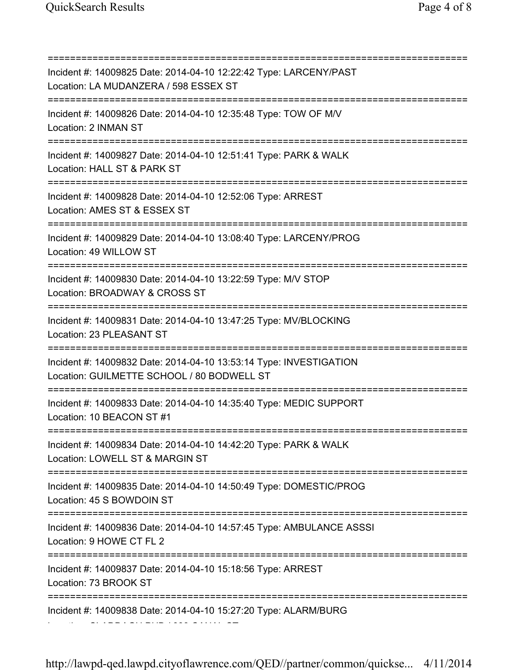=========================================================================== Incident #: 14009825 Date: 2014-04-10 12:22:42 Type: LARCENY/PAST Location: LA MUDANZERA / 598 ESSEX ST =========================================================================== Incident #: 14009826 Date: 2014-04-10 12:35:48 Type: TOW OF M/V Location: 2 INMAN ST =========================================================================== Incident #: 14009827 Date: 2014-04-10 12:51:41 Type: PARK & WALK Location: HALL ST & PARK ST =========================================================================== Incident #: 14009828 Date: 2014-04-10 12:52:06 Type: ARREST Location: AMES ST & ESSEX ST =========================================================================== Incident #: 14009829 Date: 2014-04-10 13:08:40 Type: LARCENY/PROG Location: 49 WILLOW ST =========================================================================== Incident #: 14009830 Date: 2014-04-10 13:22:59 Type: M/V STOP Location: BROADWAY & CROSS ST =========================================================================== Incident #: 14009831 Date: 2014-04-10 13:47:25 Type: MV/BLOCKING Location: 23 PLEASANT ST =========================================================================== Incident #: 14009832 Date: 2014-04-10 13:53:14 Type: INVESTIGATION Location: GUILMETTE SCHOOL / 80 BODWELL ST =========================================================================== Incident #: 14009833 Date: 2014-04-10 14:35:40 Type: MEDIC SUPPORT Location: 10 BEACON ST #1 =========================================================================== Incident #: 14009834 Date: 2014-04-10 14:42:20 Type: PARK & WALK Location: LOWELL ST & MARGIN ST =========================================================================== Incident #: 14009835 Date: 2014-04-10 14:50:49 Type: DOMESTIC/PROG Location: 45 S BOWDOIN ST =========================================================================== Incident #: 14009836 Date: 2014-04-10 14:57:45 Type: AMBULANCE ASSSI Location: 9 HOWE CT FL 2 =========================================================================== Incident #: 14009837 Date: 2014-04-10 15:18:56 Type: ARREST Location: 73 BROOK ST =========================================================================== Incident #: 14009838 Date: 2014-04-10 15:27:20 Type: ALARM/BURG Location: CLADDAGH PUB / 399 CANAL ST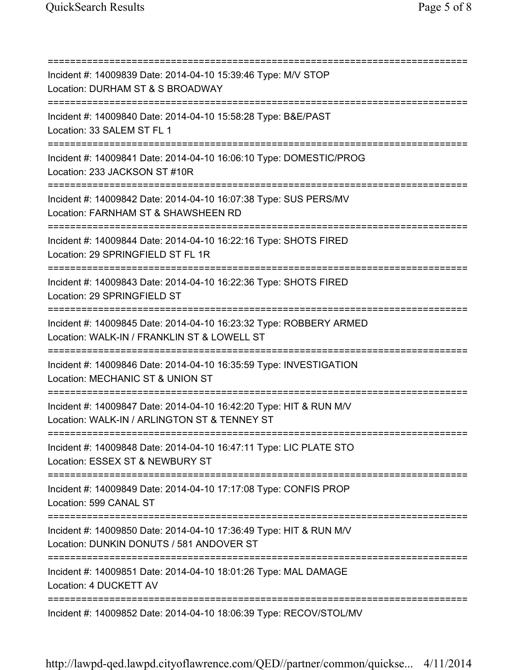=========================================================================== Incident #: 14009839 Date: 2014-04-10 15:39:46 Type: M/V STOP Location: DURHAM ST & S BROADWAY =========================================================================== Incident #: 14009840 Date: 2014-04-10 15:58:28 Type: B&E/PAST Location: 33 SALEM ST FL 1 =========================================================================== Incident #: 14009841 Date: 2014-04-10 16:06:10 Type: DOMESTIC/PROG Location: 233 JACKSON ST #10R =========================================================================== Incident #: 14009842 Date: 2014-04-10 16:07:38 Type: SUS PERS/MV Location: FARNHAM ST & SHAWSHEEN RD =========================================================================== Incident #: 14009844 Date: 2014-04-10 16:22:16 Type: SHOTS FIRED Location: 29 SPRINGFIELD ST FL 1R =========================================================================== Incident #: 14009843 Date: 2014-04-10 16:22:36 Type: SHOTS FIRED Location: 29 SPRINGFIELD ST =========================================================================== Incident #: 14009845 Date: 2014-04-10 16:23:32 Type: ROBBERY ARMED Location: WALK-IN / FRANKLIN ST & LOWELL ST =========================================================================== Incident #: 14009846 Date: 2014-04-10 16:35:59 Type: INVESTIGATION Location: MECHANIC ST & UNION ST =========================================================================== Incident #: 14009847 Date: 2014-04-10 16:42:20 Type: HIT & RUN M/V Location: WALK-IN / ARLINGTON ST & TENNEY ST =========================================================================== Incident #: 14009848 Date: 2014-04-10 16:47:11 Type: LIC PLATE STO Location: ESSEX ST & NEWBURY ST =========================================================================== Incident #: 14009849 Date: 2014-04-10 17:17:08 Type: CONFIS PROP Location: 599 CANAL ST =========================================================================== Incident #: 14009850 Date: 2014-04-10 17:36:49 Type: HIT & RUN M/V Location: DUNKIN DONUTS / 581 ANDOVER ST =========================================================================== Incident #: 14009851 Date: 2014-04-10 18:01:26 Type: MAL DAMAGE Location: 4 DUCKETT AV =========================================================================== Incident #: 14009852 Date: 2014-04-10 18:06:39 Type: RECOV/STOL/MV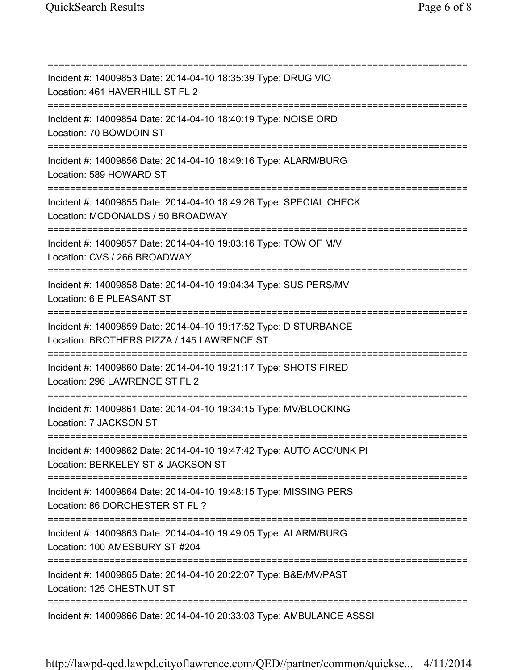=========================================================================== Incident #: 14009853 Date: 2014-04-10 18:35:39 Type: DRUG VIO Location: 461 HAVERHILL ST FL 2 =========================================================================== Incident #: 14009854 Date: 2014-04-10 18:40:19 Type: NOISE ORD Location: 70 BOWDOIN ST =========================================================================== Incident #: 14009856 Date: 2014-04-10 18:49:16 Type: ALARM/BURG Location: 589 HOWARD ST =========================================================================== Incident #: 14009855 Date: 2014-04-10 18:49:26 Type: SPECIAL CHECK Location: MCDONALDS / 50 BROADWAY =========================================================================== Incident #: 14009857 Date: 2014-04-10 19:03:16 Type: TOW OF M/V Location: CVS / 266 BROADWAY =========================================================================== Incident #: 14009858 Date: 2014-04-10 19:04:34 Type: SUS PERS/MV Location: 6 E PLEASANT ST =========================================================================== Incident #: 14009859 Date: 2014-04-10 19:17:52 Type: DISTURBANCE Location: BROTHERS PIZZA / 145 LAWRENCE ST =========================================================================== Incident #: 14009860 Date: 2014-04-10 19:21:17 Type: SHOTS FIRED Location: 296 LAWRENCE ST FL 2 =========================================================================== Incident #: 14009861 Date: 2014-04-10 19:34:15 Type: MV/BLOCKING Location: 7 JACKSON ST =========================================================================== Incident #: 14009862 Date: 2014-04-10 19:47:42 Type: AUTO ACC/UNK PI Location: BERKELEY ST & JACKSON ST =========================================================================== Incident #: 14009864 Date: 2014-04-10 19:48:15 Type: MISSING PERS Location: 86 DORCHESTER ST FL ? =========================================================================== Incident #: 14009863 Date: 2014-04-10 19:49:05 Type: ALARM/BURG Location: 100 AMESBURY ST #204 =========================================================================== Incident #: 14009865 Date: 2014-04-10 20:22:07 Type: B&E/MV/PAST Location: 125 CHESTNUT ST =========================================================================== Incident #: 14009866 Date: 2014-04-10 20:33:03 Type: AMBULANCE ASSSI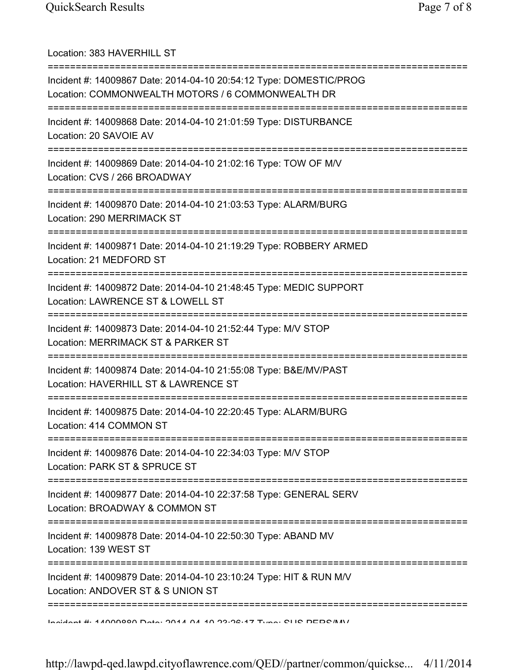Location: 383 HAVERHILL ST =========================================================================== Incident #: 14009867 Date: 2014-04-10 20:54:12 Type: DOMESTIC/PROG Location: COMMONWEALTH MOTORS / 6 COMMONWEALTH DR =========================================================================== Incident #: 14009868 Date: 2014-04-10 21:01:59 Type: DISTURBANCE Location: 20 SAVOIE AV =========================================================================== Incident #: 14009869 Date: 2014-04-10 21:02:16 Type: TOW OF M/V Location: CVS / 266 BROADWAY =========================================================================== Incident #: 14009870 Date: 2014-04-10 21:03:53 Type: ALARM/BURG Location: 290 MERRIMACK ST =========================================================================== Incident #: 14009871 Date: 2014-04-10 21:19:29 Type: ROBBERY ARMED Location: 21 MEDFORD ST =========================================================================== Incident #: 14009872 Date: 2014-04-10 21:48:45 Type: MEDIC SUPPORT Location: LAWRENCE ST & LOWELL ST =========================================================================== Incident #: 14009873 Date: 2014-04-10 21:52:44 Type: M/V STOP Location: MERRIMACK ST & PARKER ST =========================================================================== Incident #: 14009874 Date: 2014-04-10 21:55:08 Type: B&E/MV/PAST Location: HAVERHILL ST & LAWRENCE ST =========================================================================== Incident #: 14009875 Date: 2014-04-10 22:20:45 Type: ALARM/BURG Location: 414 COMMON ST =========================================================================== Incident #: 14009876 Date: 2014-04-10 22:34:03 Type: M/V STOP Location: PARK ST & SPRUCE ST =========================================================================== Incident #: 14009877 Date: 2014-04-10 22:37:58 Type: GENERAL SERV Location: BROADWAY & COMMON ST =========================================================================== Incident #: 14009878 Date: 2014-04-10 22:50:30 Type: ABAND MV Location: 139 WEST ST =========================================================================== Incident #: 14009879 Date: 2014-04-10 23:10:24 Type: HIT & RUN M/V Location: ANDOVER ST & S UNION ST =========================================================================== Incident #: 14009880 Date: 2014 04 10 23:26:17 Type: SUS PERS/MV